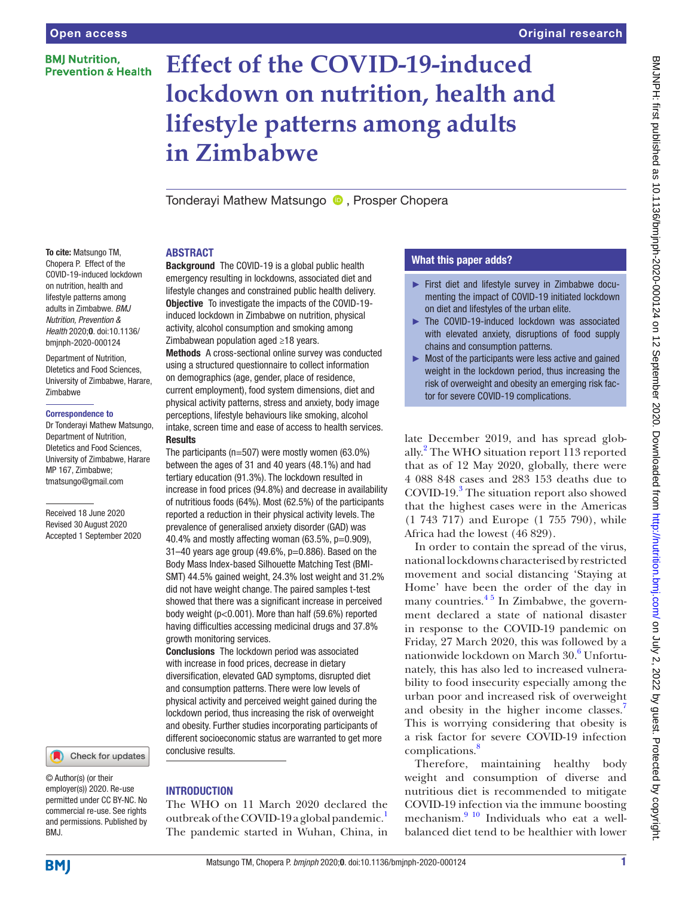# **BMI Nutrition. Prevention & Health**

# **Effect of the COVID-19-induced lockdown on nutrition, health and lifestyle patterns among adults in Zimbabwe**

TonderayiMathew Matsungo **D**. Prosper Chopera

#### To cite: Matsungo TM, Chopera P. Effect of the COVID-19-induced lockdown on nutrition, health and lifestyle patterns among adults in Zimbabwe. *BMJ Nutrition, Prevention & Health* 2020;0. doi:10.1136/ bmjnph-2020-000124

Department of Nutrition, DIetetics and Food Sciences, University of Zimbabwe, Harare, Zimbabwe

#### Correspondence to

Dr Tonderayi Mathew Matsungo, Department of Nutrition, DIetetics and Food Sciences, University of Zimbabwe, Harare MP 167, Zimbabwe; tmatsungo@gmail.com

Received 18 June 2020 Revised 30 August 2020 Accepted 1 September 2020



© Author(s) (or their employer(s)) 2020. Re-use permitted under CC BY-NC. No commercial re-use. See rights and permissions. Published by BMJ.

# ABSTRACT

Background The COVID-19 is a global public health emergency resulting in lockdowns, associated diet and lifestyle changes and constrained public health delivery. Objective To investigate the impacts of the COVID-19 induced lockdown in Zimbabwe on nutrition, physical activity, alcohol consumption and smoking among Zimbabwean population aged ≥18 years.

Methods A cross-sectional online survey was conducted using a structured questionnaire to collect information on demographics (age, gender, place of residence, current employment), food system dimensions, diet and physical activity patterns, stress and anxiety, body image perceptions, lifestyle behaviours like smoking, alcohol intake, screen time and ease of access to health services.

## **Results**

The participants (n=507) were mostly women (63.0%) between the ages of 31 and 40 years (48.1%) and had tertiary education (91.3%). The lockdown resulted in increase in food prices (94.8%) and decrease in availability of nutritious foods (64%). Most (62.5%) of the participants reported a reduction in their physical activity levels. The prevalence of generalised anxiety disorder (GAD) was 40.4% and mostly affecting woman (63.5%,  $p=0.909$ ),  $31-40$  years age group (49.6%,  $p=0.886$ ). Based on the Body Mass Index-based Silhouette Matching Test (BMI-SMT) 44.5% gained weight, 24.3% lost weight and 31.2% did not have weight change. The paired samples t-test showed that there was a significant increase in perceived body weight (p<0.001). More than half (59.6%) reported having difficulties accessing medicinal drugs and 37.8% growth monitoring services.

Conclusions The lockdown period was associated with increase in food prices, decrease in dietary diversification, elevated GAD symptoms, disrupted diet and consumption patterns. There were low levels of physical activity and perceived weight gained during the lockdown period, thus increasing the risk of overweight and obesity. Further studies incorporating participants of different socioeconomic status are warranted to get more conclusive results.

# **INTRODUCTION**

The WHO on 11 March 2020 declared the outbreak of the COVID-[1](#page-6-0)9 a global pandemic.<sup>1</sup> The pandemic started in Wuhan, China, in

# What this paper adds?

- ► First diet and lifestyle survey in Zimbabwe documenting the impact of COVID-19 initiated lockdown on diet and lifestyles of the urban elite.
- ► The COVID-19-induced lockdown was associated with elevated anxiety, disruptions of food supply chains and consumption patterns.
- $\triangleright$  Most of the participants were less active and gained weight in the lockdown period, thus increasing the risk of overweight and obesity an emerging risk factor for severe COVID-19 complications.

late December 2019, and has spread glob-ally.<sup>[2](#page-6-1)</sup> The WHO situation report 113 reported that as of 12 May 2020, globally, there were 4 088 848 cases and 283 153 deaths due to COVID-19.<sup>[3](#page-6-2)</sup> The situation report also showed that the highest cases were in the Americas (1 743 717) and Europe (1 755 790), while Africa had the lowest (46 829).

In order to contain the spread of the virus, national lockdowns characterised by restricted movement and social distancing 'Staying at Home' have been the order of the day in many countries. $45$  In Zimbabwe, the government declared a state of national disaster in response to the COVID-19 pandemic on Friday, 27 March 2020, this was followed by a nationwide lockdown on March 30.<sup>[6](#page-7-1)</sup> Unfortunately, this has also led to increased vulnerability to food insecurity especially among the urban poor and increased risk of overweight and obesity in the higher income classes.<sup>7</sup> This is worrying considering that obesity is a risk factor for severe COVID-19 infection complications.[8](#page-7-3)

Therefore, maintaining healthy body weight and consumption of diverse and nutritious diet is recommended to mitigate COVID-19 infection via the immune boosting mechanism.<sup>9 10</sup> Individuals who eat a wellbalanced diet tend to be healthier with lower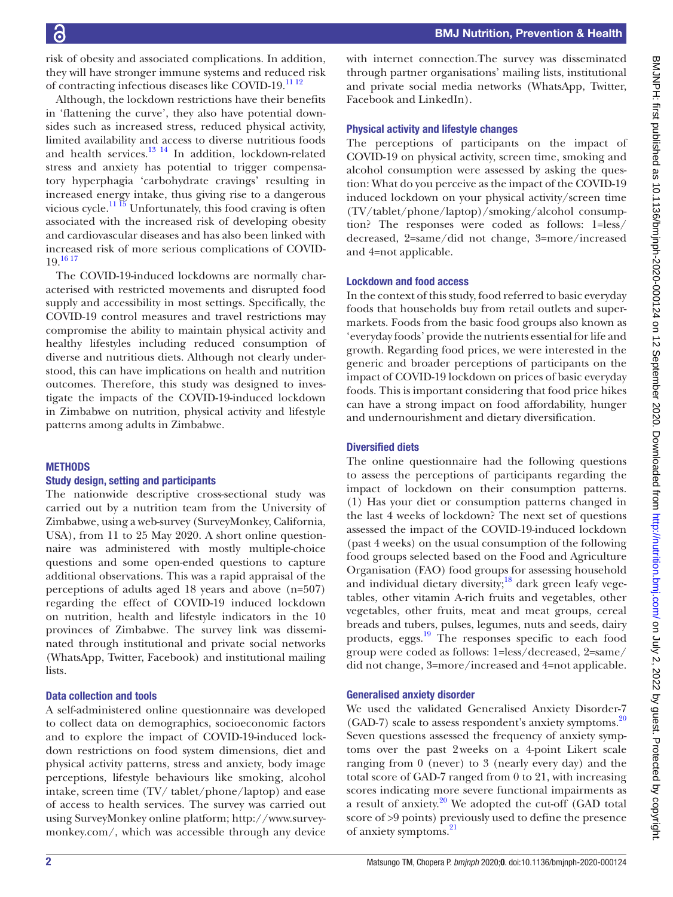risk of obesity and associated complications. In addition, they will have stronger immune systems and reduced risk of contracting infectious diseases like COVID-19.<sup>11</sup><sup>12</sup>

Although, the lockdown restrictions have their benefits in 'flattening the curve', they also have potential downsides such as increased stress, reduced physical activity, limited availability and access to diverse nutritious foods and health services. $13 \frac{14}{11}$  In addition, lockdown-related stress and anxiety has potential to trigger compensatory hyperphagia 'carbohydrate cravings' resulting in increased energy intake, thus giving rise to a dangerous vicious cycle.<sup>11 15</sup> Unfortunately, this food craving is often associated with the increased risk of developing obesity and cardiovascular diseases and has also been linked with increased risk of more serious complications of COVID- $19.1617$ 

The COVID-19-induced lockdowns are normally characterised with restricted movements and disrupted food supply and accessibility in most settings. Specifically, the COVID-19 control measures and travel restrictions may compromise the ability to maintain physical activity and healthy lifestyles including reduced consumption of diverse and nutritious diets. Although not clearly understood, this can have implications on health and nutrition outcomes. Therefore, this study was designed to investigate the impacts of the COVID-19-induced lockdown in Zimbabwe on nutrition, physical activity and lifestyle patterns among adults in Zimbabwe.

#### **METHODS**

#### Study design, setting and participants

The nationwide descriptive cross-sectional study was carried out by a nutrition team from the University of Zimbabwe, using a web-survey (SurveyMonkey, California, USA), from 11 to 25 May 2020. A short online questionnaire was administered with mostly multiple-choice questions and some open-ended questions to capture additional observations. This was a rapid appraisal of the perceptions of adults aged 18 years and above (n=507) regarding the effect of COVID-19 induced lockdown on nutrition, health and lifestyle indicators in the 10 provinces of Zimbabwe. The survey link was disseminated through institutional and private social networks (WhatsApp, Twitter, Facebook) and institutional mailing lists.

#### Data collection and tools

A self-administered online questionnaire was developed to collect data on demographics, socioeconomic factors and to explore the impact of COVID-19-induced lockdown restrictions on food system dimensions, diet and physical activity patterns, stress and anxiety, body image perceptions, lifestyle behaviours like smoking, alcohol intake, screen time (TV/ tablet/phone/laptop) and ease of access to health services. The survey was carried out using SurveyMonkey online platform; [http://www.survey](http://www.surveymonkey.com/)[monkey.com/,](http://www.surveymonkey.com/) which was accessible through any device

with internet connection.The survey was disseminated through partner organisations' mailing lists, institutional and private social media networks (WhatsApp, Twitter, Facebook and LinkedIn).

#### Physical activity and lifestyle changes

The perceptions of participants on the impact of COVID-19 on physical activity, screen time, smoking and alcohol consumption were assessed by asking the question: What do you perceive as the impact of the COVID-19 induced lockdown on your physical activity/screen time (TV/tablet/phone/laptop)/smoking/alcohol consumption? The responses were coded as follows: 1=less/ decreased, 2=same/did not change, 3=more/increased and 4=not applicable.

#### Lockdown and food access

In the context of this study, food referred to basic everyday foods that households buy from retail outlets and supermarkets. Foods from the basic food groups also known as 'everyday foods' provide the nutrients essential for life and growth. Regarding food prices, we were interested in the generic and broader perceptions of participants on the impact of COVID-19 lockdown on prices of basic everyday foods. This is important considering that food price hikes can have a strong impact on food affordability, hunger and undernourishment and dietary diversification.

#### Diversified diets

The online questionnaire had the following questions to assess the perceptions of participants regarding the impact of lockdown on their consumption patterns. (1) Has your diet or consumption patterns changed in the last 4 weeks of lockdown? The next set of questions assessed the impact of the COVID-19-induced lockdown (past 4 weeks) on the usual consumption of the following food groups selected based on the Food and Agriculture Organisation (FAO) food groups for assessing household and individual dietary diversity;<sup>18</sup> dark green leafy vegetables, other vitamin A-rich fruits and vegetables, other vegetables, other fruits, meat and meat groups, cereal breads and tubers, pulses, legumes, nuts and seeds, dairy products, eggs.[19](#page-7-9) The responses specific to each food group were coded as follows: 1=less/decreased, 2=same/ did not change, 3=more/increased and 4=not applicable.

#### Generalised anxiety disorder

We used the validated Generalised Anxiety Disorder-7 (GAD-7) scale to assess respondent's anxiety symptoms.<sup>[20](#page-7-10)</sup> Seven questions assessed the frequency of anxiety symptoms over the past 2weeks on a 4-point Likert scale ranging from 0 (never) to 3 (nearly every day) and the total score of GAD-7 ranged from 0 to 21, with increasing scores indicating more severe functional impairments as a result of anxiety. $20$  We adopted the cut-off (GAD total score of >9 points) previously used to define the presence of anxiety symptoms.[21](#page-7-11)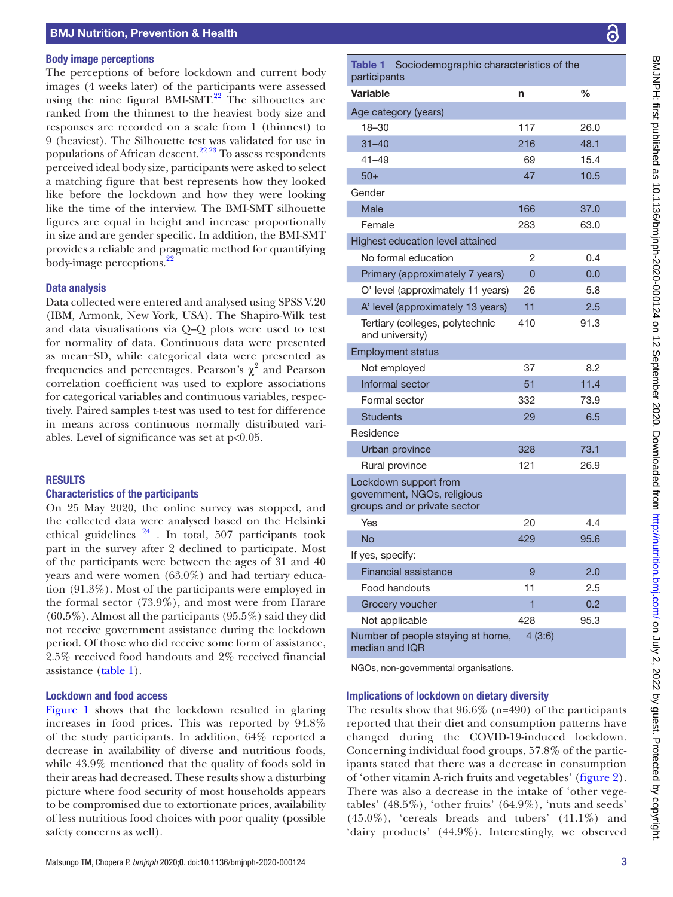#### Body image perceptions

The perceptions of before lockdown and current body images (4 weeks later) of the participants were assessed using the nine figural BMI-SMT.<sup>22</sup> The silhouettes are ranked from the thinnest to the heaviest body size and responses are recorded on a scale from 1 (thinnest) to 9 (heaviest). The Silhouette test was validated for use in populations of African descent.<sup>22, 23</sup> To assess respondents perceived ideal body size, participants were asked to select a matching figure that best represents how they looked like before the lockdown and how they were looking like the time of the interview. The BMI-SMT silhouette figures are equal in height and increase proportionally in size and are gender specific. In addition, the BMI-SMT provides a reliable and pragmatic method for quantifying body-image perceptions.<sup>22</sup>

#### Data analysis

Data collected were entered and analysed using SPSS V.20 (IBM, Armonk, New York, USA). The Shapiro-Wilk test and data visualisations via Q–Q plots were used to test for normality of data. Continuous data were presented as mean±SD, while categorical data were presented as frequencies and percentages. Pearson's  $\chi^2$  and Pearson correlation coefficient was used to explore associations for categorical variables and continuous variables, respectively. Paired samples t-test was used to test for difference in means across continuous normally distributed variables. Level of significance was set at p<0.05.

#### RESULTS

#### Characteristics of the participants

On 25 May 2020, the online survey was stopped, and the collected data were analysed based on the Helsinki ethical guidelines  $24$ . In total, 507 participants took part in the survey after 2 declined to participate. Most of the participants were between the ages of 31 and 40 years and were women (63.0%) and had tertiary education (91.3%). Most of the participants were employed in the formal sector (73.9%), and most were from Harare (60.5%). Almost all the participants (95.5%) said they did not receive government assistance during the lockdown period. Of those who did receive some form of assistance, 2.5% received food handouts and 2% received financial assistance [\(table](#page-2-0) 1).

#### Lockdown and food access

[Figure](#page-3-0) 1 shows that the lockdown resulted in glaring increases in food prices. This was reported by 94.8% of the study participants. In addition, 64% reported a decrease in availability of diverse and nutritious foods, while 43.9% mentioned that the quality of foods sold in their areas had decreased. These results show a disturbing picture where food security of most households appears to be compromised due to extortionate prices, availability of less nutritious food choices with poor quality (possible safety concerns as well).

<span id="page-2-0"></span>

| <b>Table 1</b><br>Sociodemographic characteristics of the<br>participants            |        |      |  |  |
|--------------------------------------------------------------------------------------|--------|------|--|--|
| <b>Variable</b>                                                                      | n      | %    |  |  |
| Age category (years)                                                                 |        |      |  |  |
| 18-30                                                                                | 117    | 26.0 |  |  |
| $31 - 40$                                                                            | 216    | 48.1 |  |  |
| $41 - 49$                                                                            | 69     | 15.4 |  |  |
| $50+$                                                                                | 47     | 10.5 |  |  |
| Gender                                                                               |        |      |  |  |
| Male                                                                                 | 166    | 37.0 |  |  |
| Female                                                                               | 283    | 63.0 |  |  |
| Highest education level attained                                                     |        |      |  |  |
| No formal education                                                                  | 2      | 0.4  |  |  |
| Primary (approximately 7 years)                                                      | 0      | 0.0  |  |  |
| O' level (approximately 11 years)                                                    | 26     | 5.8  |  |  |
| A' level (approximately 13 years)                                                    | 11     | 2.5  |  |  |
| Tertiary (colleges, polytechnic<br>and university)                                   | 410    | 91.3 |  |  |
| <b>Employment status</b>                                                             |        |      |  |  |
| Not employed                                                                         | 37     | 8.2  |  |  |
| Informal sector                                                                      | 51     | 11.4 |  |  |
| Formal sector                                                                        | 332    | 73.9 |  |  |
| <b>Students</b>                                                                      | 29     | 6.5  |  |  |
| Residence                                                                            |        |      |  |  |
| Urban province                                                                       | 328    | 73.1 |  |  |
| Rural province                                                                       | 121    | 26.9 |  |  |
| Lockdown support from<br>government, NGOs, religious<br>groups and or private sector |        |      |  |  |
| Yes                                                                                  | 20     | 4.4  |  |  |
| <b>No</b>                                                                            | 429    | 95.6 |  |  |
| If yes, specify:                                                                     |        |      |  |  |
| <b>Financial assistance</b>                                                          | 9      | 2.0  |  |  |
| Food handouts                                                                        | 11     | 2.5  |  |  |
| Grocery voucher                                                                      | 1      | 0.2  |  |  |
| Not applicable                                                                       | 428    | 95.3 |  |  |
| Number of people staying at home,<br>median and IQR                                  | 4(3:6) |      |  |  |

NGOs, non-governmental organisations.

#### Implications of lockdown on dietary diversity

The results show that  $96.6\%$  (n=490) of the participants reported that their diet and consumption patterns have changed during the COVID-19-induced lockdown. Concerning individual food groups, 57.8% of the participants stated that there was a decrease in consumption of 'other vitamin A-rich fruits and vegetables' [\(figure](#page-3-1) 2). There was also a decrease in the intake of 'other vegetables' (48.5%), 'other fruits' (64.9%), 'nuts and seeds'  $(45.0\%)$ , 'cereals breads and tubers'  $(41.1\%)$  and 'dairy products' (44.9%). Interestingly, we observed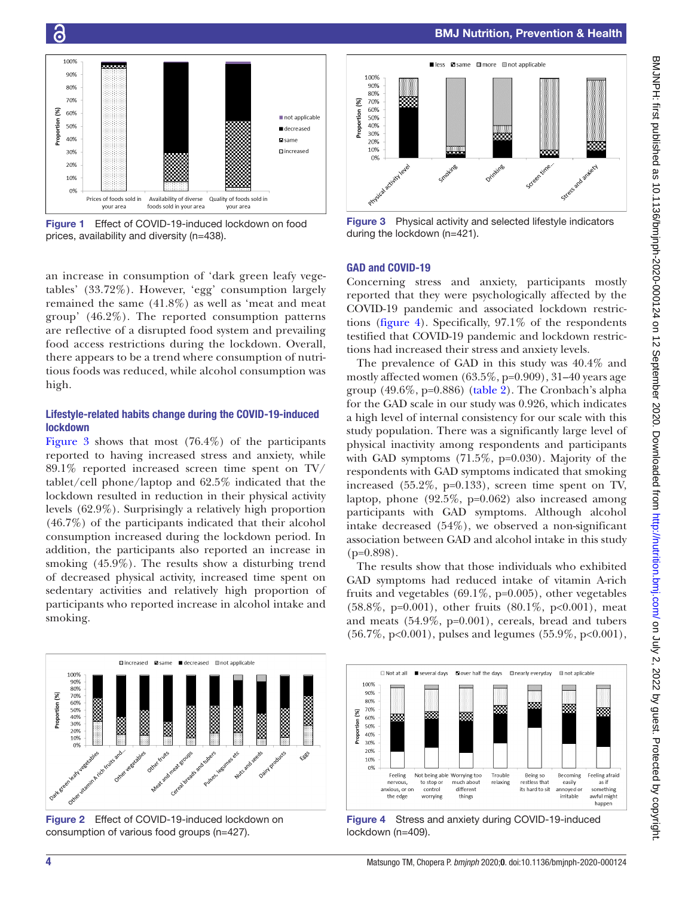

<span id="page-3-0"></span>Figure 1 Effect of COVID-19-induced lockdown on food prices, availability and diversity (n=438).

an increase in consumption of 'dark green leafy vegetables' (33.72%). However, 'egg' consumption largely remained the same (41.8%) as well as 'meat and meat group' (46.2%). The reported consumption patterns are reflective of a disrupted food system and prevailing food access restrictions during the lockdown. Overall, there appears to be a trend where consumption of nutritious foods was reduced, while alcohol consumption was high.

#### Lifestyle-related habits change during the COVID-19-induced lockdown

[Figure](#page-3-2) 3 shows that most (76.4%) of the participants reported to having increased stress and anxiety, while 89.1% reported increased screen time spent on TV/ tablet/cell phone/laptop and 62.5% indicated that the lockdown resulted in reduction in their physical activity levels (62.9%). Surprisingly a relatively high proportion (46.7%) of the participants indicated that their alcohol consumption increased during the lockdown period. In addition, the participants also reported an increase in smoking (45.9%). The results show a disturbing trend of decreased physical activity, increased time spent on sedentary activities and relatively high proportion of participants who reported increase in alcohol intake and smoking.



<span id="page-3-1"></span>Figure 2 Effect of COVID-19-induced lockdown on consumption of various food groups (n=427).



BMJ Nutrition, Prevention & Health

<span id="page-3-2"></span>Figure 3 Physical activity and selected lifestyle indicators during the lockdown (n=421).

#### GAD and COVID-19

Concerning stress and anxiety, participants mostly reported that they were psychologically affected by the COVID-19 pandemic and associated lockdown restrictions ([figure](#page-3-3) 4). Specifically, 97.1% of the respondents testified that COVID-19 pandemic and lockdown restrictions had increased their stress and anxiety levels.

The prevalence of GAD in this study was 40.4% and mostly affected women (63.5%, p=0.909), 31–40 years age group  $(49.6\%, p=0.886)$  ([table](#page-4-0) 2). The Cronbach's alpha for the GAD scale in our study was 0.926, which indicates a high level of internal consistency for our scale with this study population. There was a significantly large level of physical inactivity among respondents and participants with GAD symptoms  $(71.5\%, p=0.030)$ . Majority of the respondents with GAD symptoms indicated that smoking increased (55.2%, p=0.133), screen time spent on TV, laptop, phone  $(92.5\%, p=0.062)$  also increased among participants with GAD symptoms. Although alcohol intake decreased (54%), we observed a non-significant association between GAD and alcohol intake in this study  $(p=0.898)$ .

The results show that those individuals who exhibited GAD symptoms had reduced intake of vitamin A-rich fruits and vegetables  $(69.1\%, p=0.005)$ , other vegetables (58.8%, p=0.001), other fruits (80.1%, p<0.001), meat and meats (54.9%, p=0.001), cereals, bread and tubers (56.7%, p<0.001), pulses and legumes (55.9%, p<0.001),



<span id="page-3-3"></span>Figure 4 Stress and anxiety during COVID-19-induced lockdown (n=409).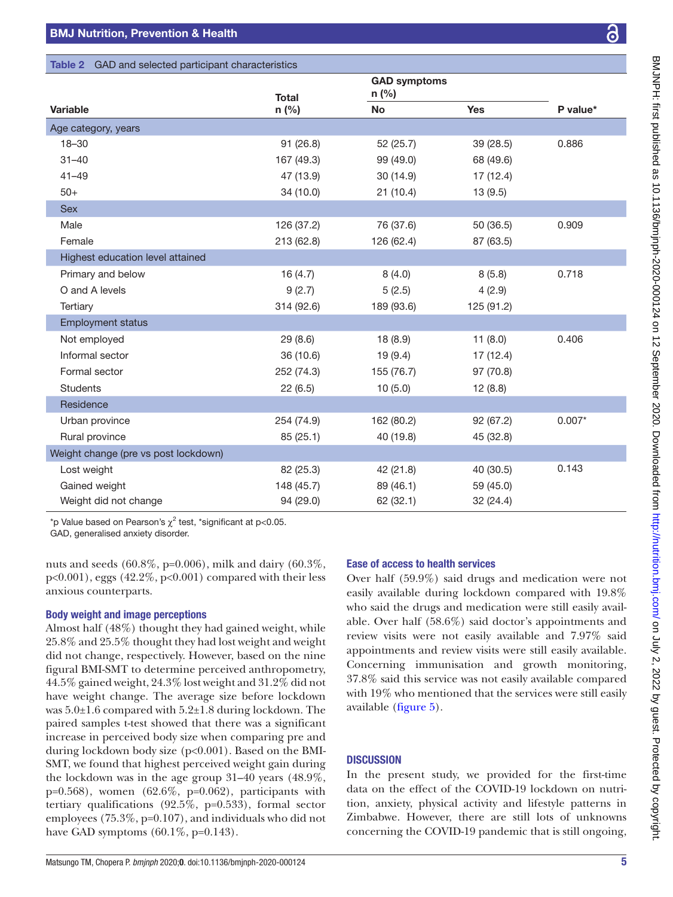### <span id="page-4-0"></span>Table 2 GAD and selected participant characteristics

|                                      | <b>Total</b> | <b>GAD symptoms</b><br>n (%) |            |          |
|--------------------------------------|--------------|------------------------------|------------|----------|
| <b>Variable</b>                      | n (%)        | <b>No</b>                    | <b>Yes</b> | P value* |
| Age category, years                  |              |                              |            |          |
| $18 - 30$                            | 91 (26.8)    | 52 (25.7)                    | 39 (28.5)  | 0.886    |
| $31 - 40$                            | 167 (49.3)   | 99 (49.0)                    | 68 (49.6)  |          |
| $41 - 49$                            | 47 (13.9)    | 30 (14.9)                    | 17 (12.4)  |          |
| $50+$                                | 34 (10.0)    | 21(10.4)                     | 13(9.5)    |          |
| <b>Sex</b>                           |              |                              |            |          |
| Male                                 | 126 (37.2)   | 76 (37.6)                    | 50 (36.5)  | 0.909    |
| Female                               | 213 (62.8)   | 126 (62.4)                   | 87 (63.5)  |          |
| Highest education level attained     |              |                              |            |          |
| Primary and below                    | 16(4.7)      | 8(4.0)                       | 8(5.8)     | 0.718    |
| O and A levels                       | 9(2.7)       | 5(2.5)                       | 4(2.9)     |          |
| Tertiary                             | 314 (92.6)   | 189 (93.6)                   | 125 (91.2) |          |
| <b>Employment status</b>             |              |                              |            |          |
| Not employed                         | 29(8.6)      | 18(8.9)                      | 11(8.0)    | 0.406    |
| Informal sector                      | 36 (10.6)    | 19(9.4)                      | 17 (12.4)  |          |
| Formal sector                        | 252 (74.3)   | 155 (76.7)                   | 97 (70.8)  |          |
| <b>Students</b>                      | 22(6.5)      | 10(5.0)                      | 12(8.8)    |          |
| Residence                            |              |                              |            |          |
| Urban province                       | 254 (74.9)   | 162 (80.2)                   | 92(67.2)   | $0.007*$ |
| Rural province                       | 85(25.1)     | 40 (19.8)                    | 45 (32.8)  |          |
| Weight change (pre vs post lockdown) |              |                              |            |          |
| Lost weight                          | 82 (25.3)    | 42 (21.8)                    | 40 (30.5)  | 0.143    |
| Gained weight                        | 148 (45.7)   | 89 (46.1)                    | 59 (45.0)  |          |
| Weight did not change                | 94 (29.0)    | 62 (32.1)                    | 32 (24.4)  |          |

\*p Value based on Pearson's  $\chi^2$  test, \*significant at p<0.05.

GAD, generalised anxiety disorder.

nuts and seeds (60.8%, p=0.006), milk and dairy (60.3%, p<0.001), eggs (42.2%, p<0.001) compared with their less anxious counterparts.

#### Body weight and image perceptions

Almost half (48%) thought they had gained weight, while 25.8% and 25.5% thought they had lost weight and weight did not change, respectively. However, based on the nine figural BMI-SMT to determine perceived anthropometry, 44.5% gained weight, 24.3% lost weight and 31.2% did not have weight change. The average size before lockdown was 5.0±1.6 compared with 5.2±1.8 during lockdown. The paired samples t-test showed that there was a significant increase in perceived body size when comparing pre and during lockdown body size (p<0.001). Based on the BMI-SMT, we found that highest perceived weight gain during the lockdown was in the age group 31–40 years (48.9%,  $p=0.568$ ), women  $(62.6\%, p=0.062)$ , participants with tertiary qualifications (92.5%, p=0.533), formal sector employees (75.3%, p=0.107), and individuals who did not have GAD symptoms (60.1%, p=0.143).

#### Ease of access to health services

Over half (59.9%) said drugs and medication were not easily available during lockdown compared with 19.8% who said the drugs and medication were still easily available. Over half (58.6%) said doctor's appointments and review visits were not easily available and 7.97% said appointments and review visits were still easily available. Concerning immunisation and growth monitoring, 37.8% said this service was not easily available compared with 19% who mentioned that the services were still easily available [\(figure](#page-5-0) 5).

#### **DISCUSSION**

In the present study, we provided for the first-time data on the effect of the COVID-19 lockdown on nutrition, anxiety, physical activity and lifestyle patterns in Zimbabwe. However, there are still lots of unknowns concerning the COVID-19 pandemic that is still ongoing,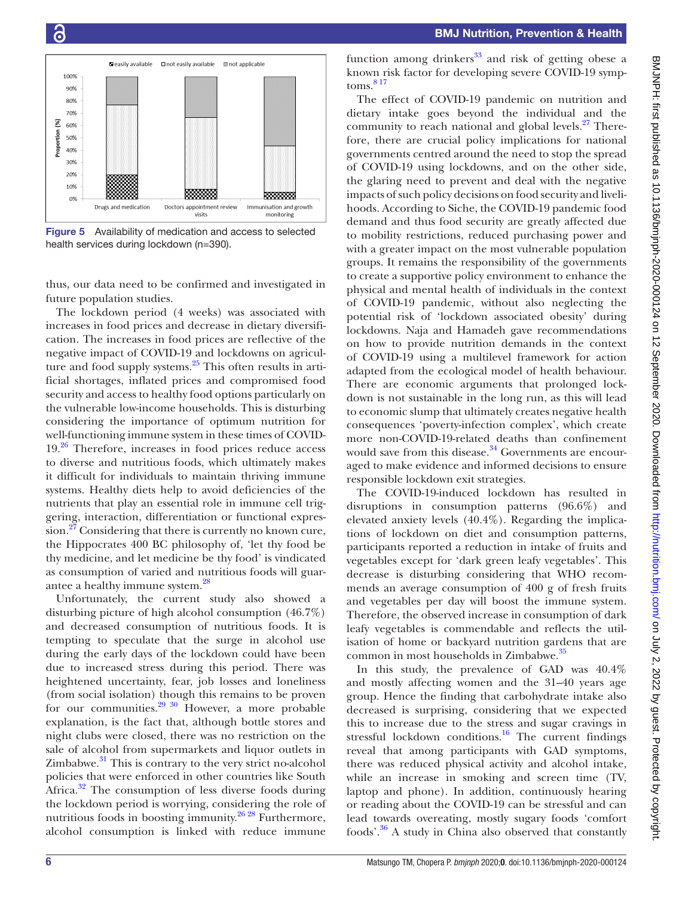

<span id="page-5-0"></span>Figure 5 Availability of medication and access to selected health services during lockdown (n=390).

thus, our data need to be confirmed and investigated in future population studies.

The lockdown period (4 weeks) was associated with increases in food prices and decrease in dietary diversification. The increases in food prices are reflective of the negative impact of COVID-19 and lockdowns on agriculture and food supply systems. $25$  This often results in artificial shortages, inflated prices and compromised food security and access to healthy food options particularly on the vulnerable low-income households. This is disturbing considering the importance of optimum nutrition for well-functioning immune system in these times of COVID- $19<sup>26</sup>$  $19<sup>26</sup>$  $19<sup>26</sup>$  Therefore, increases in food prices reduce access to diverse and nutritious foods, which ultimately makes it difficult for individuals to maintain thriving immune systems. Healthy diets help to avoid deficiencies of the nutrients that play an essential role in immune cell triggering, interaction, differentiation or functional expression.<sup>27</sup> Considering that there is currently no known cure, the Hippocrates 400 BC philosophy of, 'let thy food be thy medicine, and let medicine be thy food' is vindicated as consumption of varied and nutritious foods will guarantee a healthy immune system.<sup>28</sup>

Unfortunately, the current study also showed a disturbing picture of high alcohol consumption (46.7%) and decreased consumption of nutritious foods. It is tempting to speculate that the surge in alcohol use during the early days of the lockdown could have been due to increased stress during this period. There was heightened uncertainty, fear, job losses and loneliness (from social isolation) though this remains to be proven for our communities. $2930$  However, a more probable explanation, is the fact that, although bottle stores and night clubs were closed, there was no restriction on the sale of alcohol from supermarkets and liquor outlets in  $Zimbabwe.<sup>31</sup>$  This is contrary to the very strict no-alcohol policies that were enforced in other countries like South Africa.<sup>32</sup> The consumption of less diverse foods during the lockdown period is worrying, considering the role of nutritious foods in boosting immunity.<sup>26 28</sup> Furthermore, alcohol consumption is linked with reduce immune

BMJNPH: first published as 10.11136/bmipph-2020-000124 on 12 September 2020. Downloaded from http://rutrition.bmj.com/ on July 2, 2022 by guest. Protected by copyright BMJNH: first published as 10.1136/bmjnph-2020-000124 on 12 September 2020. Downloaded from <http://nutrition.bmj.com/> on July 2, 2022 by guest. Protected by copyright.

function among drinkers $33$  and risk of getting obese a known risk factor for developing severe COVID-19 symp $toms.<sup>817</sup>$ 

The effect of COVID-19 pandemic on nutrition and dietary intake goes beyond the individual and the community to reach national and global levels.<sup>27</sup> Therefore, there are crucial policy implications for national governments centred around the need to stop the spread of COVID-19 using lockdowns, and on the other side, the glaring need to prevent and deal with the negative impacts of such policy decisions on food security and livelihoods. According to Siche, the COVID-19 pandemic food demand and thus food security are greatly affected due to mobility restrictions, reduced purchasing power and with a greater impact on the most vulnerable population groups. It remains the responsibility of the governments to create a supportive policy environment to enhance the physical and mental health of individuals in the context of COVID-19 pandemic, without also neglecting the potential risk of 'lockdown associated obesity' during lockdowns. Naja and Hamadeh gave recommendations on how to provide nutrition demands in the context of COVID-19 using a multilevel framework for action adapted from the ecological model of health behaviour. There are economic arguments that prolonged lockdown is not sustainable in the long run, as this will lead to economic slump that ultimately creates negative health consequences 'poverty-infection complex', which create more non-COVID-19-related deaths than confinement would save from this disease. $34$  Governments are encouraged to make evidence and informed decisions to ensure responsible lockdown exit strategies.

The COVID-19-induced lockdown has resulted in disruptions in consumption patterns (96.6%) and elevated anxiety levels (40.4%). Regarding the implications of lockdown on diet and consumption patterns, participants reported a reduction in intake of fruits and vegetables except for 'dark green leafy vegetables'. This decrease is disturbing considering that WHO recommends an average consumption of 400 g of fresh fruits and vegetables per day will boost the immune system. Therefore, the observed increase in consumption of dark leafy vegetables is commendable and reflects the utilisation of home or backyard nutrition gardens that are common in most households in Zimbabwe.<sup>[35](#page-7-23)</sup>

In this study, the prevalence of GAD was 40.4% and mostly affecting women and the 31–40 years age group. Hence the finding that carbohydrate intake also decreased is surprising, considering that we expected this to increase due to the stress and sugar cravings in stressful lockdown conditions.<sup>16</sup> The current findings reveal that among participants with GAD symptoms, there was reduced physical activity and alcohol intake, while an increase in smoking and screen time (TV, laptop and phone). In addition, continuously hearing or reading about the COVID-19 can be stressful and can lead towards overeating, mostly sugary foods 'comfort foods'[.36](#page-7-24) A study in China also observed that constantly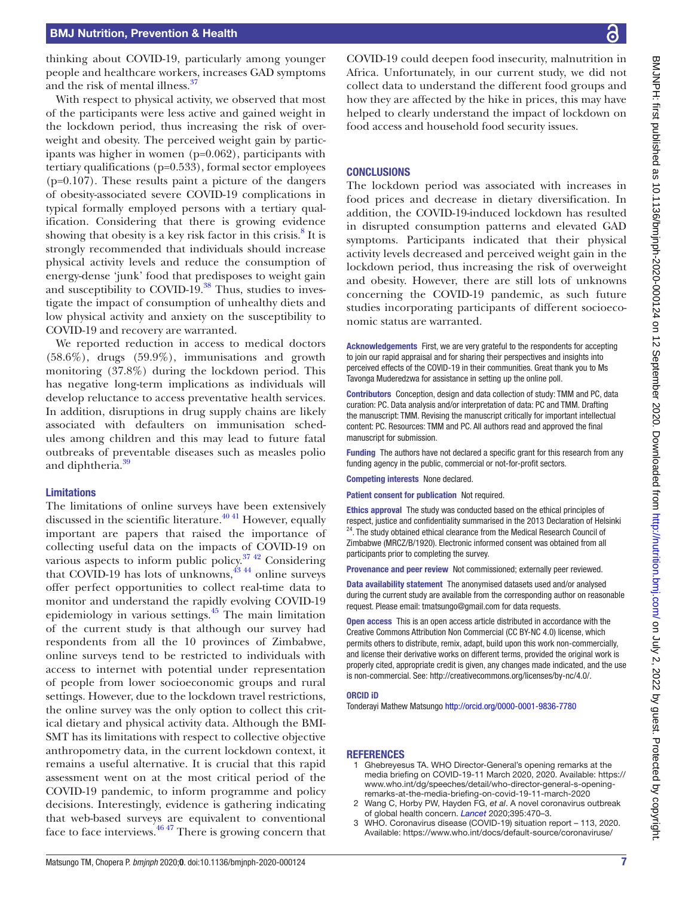#### BMJ Nutrition, Prevention & Health

thinking about COVID-19, particularly among younger people and healthcare workers, increases GAD symptoms and the risk of mental illness.<sup>37</sup>

With respect to physical activity, we observed that most of the participants were less active and gained weight in the lockdown period, thus increasing the risk of overweight and obesity. The perceived weight gain by participants was higher in women (p=0.062), participants with tertiary qualifications (p=0.533), formal sector employees  $(p=0.107)$ . These results paint a picture of the dangers of obesity-associated severe COVID-19 complications in typical formally employed persons with a tertiary qualification. Considering that there is growing evidence showing that obesity is a key risk factor in this crisis.<sup>8</sup> It is strongly recommended that individuals should increase physical activity levels and reduce the consumption of energy-dense 'junk' food that predisposes to weight gain and susceptibility to COVID-19. $38$  Thus, studies to investigate the impact of consumption of unhealthy diets and low physical activity and anxiety on the susceptibility to COVID-19 and recovery are warranted.

We reported reduction in access to medical doctors (58.6%), drugs (59.9%), immunisations and growth monitoring (37.8%) during the lockdown period. This has negative long-term implications as individuals will develop reluctance to access preventative health services. In addition, disruptions in drug supply chains are likely associated with defaulters on immunisation schedules among children and this may lead to future fatal outbreaks of preventable diseases such as measles polio and diphtheria.<sup>39</sup>

#### Limitations

The limitations of online surveys have been extensively discussed in the scientific literature. $4041$  However, equally important are papers that raised the importance of collecting useful data on the impacts of COVID-19 on various aspects to inform public policy. $37\frac{42}{12}$  Considering that COVID-19 has lots of unknowns, $43^{43}$  online surveys offer perfect opportunities to collect real-time data to monitor and understand the rapidly evolving COVID-19 epidemiology in various settings.[45](#page-7-30) The main limitation of the current study is that although our survey had respondents from all the 10 provinces of Zimbabwe, online surveys tend to be restricted to individuals with access to internet with potential under representation of people from lower socioeconomic groups and rural settings. However, due to the lockdown travel restrictions, the online survey was the only option to collect this critical dietary and physical activity data. Although the BMI-SMT has its limitations with respect to collective objective anthropometry data, in the current lockdown context, it remains a useful alternative. It is crucial that this rapid assessment went on at the most critical period of the COVID-19 pandemic, to inform programme and policy decisions. Interestingly, evidence is gathering indicating that web-based surveys are equivalent to conventional face to face interviews.<sup>4647</sup> There is growing concern that

COVID-19 could deepen food insecurity, malnutrition in Africa. Unfortunately, in our current study, we did not collect data to understand the different food groups and how they are affected by the hike in prices, this may have helped to clearly understand the impact of lockdown on food access and household food security issues.

#### **CONCLUSIONS**

The lockdown period was associated with increases in food prices and decrease in dietary diversification. In addition, the COVID-19-induced lockdown has resulted in disrupted consumption patterns and elevated GAD symptoms. Participants indicated that their physical activity levels decreased and perceived weight gain in the lockdown period, thus increasing the risk of overweight and obesity. However, there are still lots of unknowns concerning the COVID-19 pandemic, as such future studies incorporating participants of different socioeconomic status are warranted.

Acknowledgements First, we are very grateful to the respondents for accepting to join our rapid appraisal and for sharing their perspectives and insights into perceived effects of the COVID-19 in their communities. Great thank you to Ms Tavonga Muderedzwa for assistance in setting up the online poll.

Contributors Conception, design and data collection of study: TMM and PC, data curation: PC. Data analysis and/or interpretation of data: PC and TMM. Drafting the manuscript: TMM. Revising the manuscript critically for important intellectual content: PC. Resources: TMM and PC. All authors read and approved the final manuscript for submission.

Funding The authors have not declared a specific grant for this research from any funding agency in the public, commercial or not-for-profit sectors.

Competing interests None declared.

Patient consent for publication Not required.

Ethics approval The study was conducted based on the ethical principles of respect, justice and confidentiality summarised in the 2013 Declaration of Helsinki <sup>24</sup>. The study obtained ethical clearance from the Medical Research Council of Zimbabwe (MRCZ/B/1920). Electronic informed consent was obtained from all participants prior to completing the survey.

Provenance and peer review Not commissioned; externally peer reviewed.

Data availability statement The anonymised datasets used and/or analysed during the current study are available from the corresponding author on reasonable request. Please email: tmatsungo@gmail.com for data requests.

Open access This is an open access article distributed in accordance with the Creative Commons Attribution Non Commercial (CC BY-NC 4.0) license, which permits others to distribute, remix, adapt, build upon this work non-commercially, and license their derivative works on different terms, provided the original work is properly cited, appropriate credit is given, any changes made indicated, and the use is non-commercial. See: [http://creativecommons.org/licenses/by-nc/4.0/.](http://creativecommons.org/licenses/by-nc/4.0/)

#### ORCID iD

Tonderayi Mathew Matsungo<http://orcid.org/0000-0001-9836-7780>

#### **REFERENCES**

- <span id="page-6-0"></span>1 Ghebreyesus TA. WHO Director-General's opening remarks at the media briefing on COVID-19-11 March 2020, 2020. Available: [https://](https://www.who.int/dg/speeches/detail/who-director-general-s-opening-remarks-at-the-media-briefing-on-covid-19-11-march-2020) [www.who.int/dg/speeches/detail/who-director-general-s-opening](https://www.who.int/dg/speeches/detail/who-director-general-s-opening-remarks-at-the-media-briefing-on-covid-19-11-march-2020)[remarks-at-the-media-briefing-on-covid-19-11-march-2020](https://www.who.int/dg/speeches/detail/who-director-general-s-opening-remarks-at-the-media-briefing-on-covid-19-11-march-2020)
- <span id="page-6-1"></span>2 Wang C, Horby PW, Hayden FG, *et al*. A novel coronavirus outbreak of global health concern. *[Lancet](http://dx.doi.org/10.1016/S0140-6736(20)30185-9)* 2020;395:470–3.
- <span id="page-6-2"></span>3 WHO. Coronavirus disease (COVID-19) situation report – 113, 2020. Available: [https://www.who.int/docs/default-source/coronaviruse/](https://www.who.int/docs/default-source/coronaviruse/situation-reports/20200512-covid-19-sitrep-113.pdf?sfvrsn=feac3b6d_2)